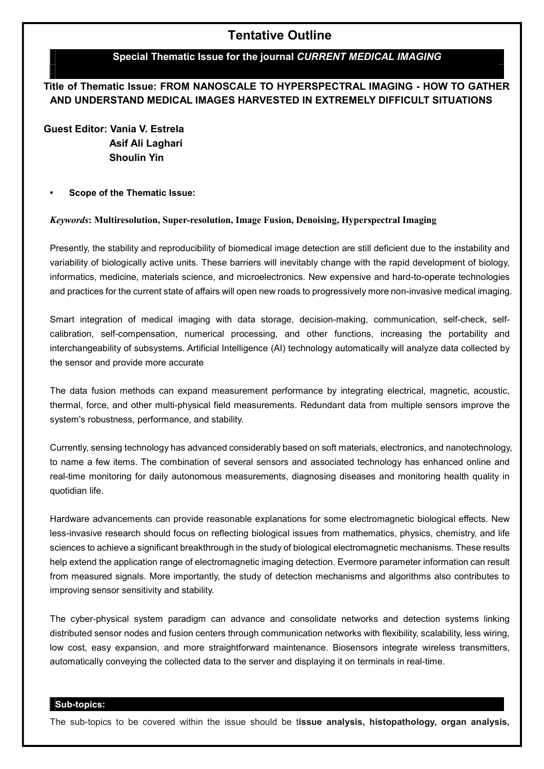## Tentative Outline

## Special Thematic Issue for the journal CURRENT MEDICAL IMAGING

## Title of Thematic Issue: FROM NANOSCALE TO HYPERSPECTRAL IMAGING - HOW TO GATHER AND UNDERSTAND MEDICAL IMAGES HARVESTED IN EXTREMELY DIFFICULT SITUATIONS

Guest Editor: Vania V. Estrela Asif Ali Laghari Shoulin Yin

• Scope of the Thematic Issue:

#### Keywords: Multiresolution, Super-resolution, Image Fusion, Denoising, Hyperspectral Imaging

Presently, the stability and reproducibility of biomedical image detection are still deficient due to the instability and variability of biologically active units. These barriers will inevitably change with the rapid development of biology, informatics, medicine, materials science, and microelectronics. New expensive and hard-to-operate technologies and practices for the current state of affairs will open new roads to progressively more non-invasive medical imaging.

Smart integration of medical imaging with data storage, decision-making, communication, self-check, selfcalibration, self-compensation, numerical processing, and other functions, increasing the portability and interchangeability of subsystems. Artificial Intelligence (AI) technology automatically will analyze data collected by the sensor and provide more accurate

The data fusion methods can expand measurement performance by integrating electrical, magnetic, acoustic, thermal, force, and other multi-physical field measurements. Redundant data from multiple sensors improve the system's robustness, performance, and stability.

Currently, sensing technology has advanced considerably based on soft materials, electronics, and nanotechnology, to name a few items. The combination of several sensors and associated technology has enhanced online and real-time monitoring for daily autonomous measurements, diagnosing diseases and monitoring health quality in quotidian life.

Hardware advancements can provide reasonable explanations for some electromagnetic biological effects. New less-invasive research should focus on reflecting biological issues from mathematics, physics, chemistry, and life sciences to achieve a significant breakthrough in the study of biological electromagnetic mechanisms. These results help extend the application range of electromagnetic imaging detection. Evermore parameter information can result from measured signals. More importantly, the study of detection mechanisms and algorithms also contributes to improving sensor sensitivity and stability.

The cyber-physical system paradigm can advance and consolidate networks and detection systems linking distributed sensor nodes and fusion centers through communication networks with flexibility, scalability, less wiring, low cost, easy expansion, and more straightforward maintenance. Biosensors integrate wireless transmitters, automatically conveying the collected data to the server and displaying it on terminals in real-time.

### Sub-topics:

The sub-topics to be covered within the issue should be tissue analysis, histopathology, organ analysis,